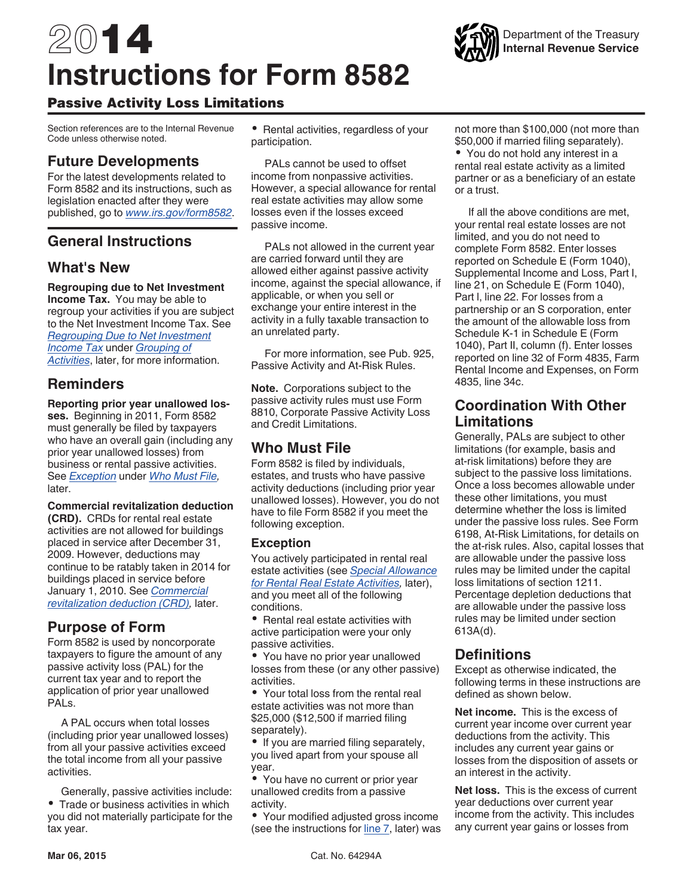# <span id="page-0-0"></span>2014 **Instructions for Form 8582**



# Passive Activity Loss Limitations

Section references are to the Internal Revenue Code unless otherwise noted.

# **Future Developments**

For the latest developments related to Form 8582 and its instructions, such as legislation enacted after they were published, go to *[www.irs.gov/form8582](http://www.irs.gov/form8582)*.

# **General Instructions**

# **What's New**

## **Regrouping due to Net Investment**

**Income Tax.** You may be able to regroup your activities if you are subject to the Net Investment Income Tax. See *[Regrouping Due to Net Investment](#page-4-0) [Income Tax](#page-4-0)* under *[Grouping of](#page-4-0) [Activities](#page-4-0)*, later, for more information.

# **Reminders**

**Reporting prior year unallowed losses.** Beginning in 2011, Form 8582 must generally be filed by taxpayers who have an overall gain (including any prior year unallowed losses) from business or rental passive activities. See *Exception* under *Who Must File,*  later.

**Commercial revitalization deduction (CRD).** CRDs for rental real estate activities are not allowed for buildings placed in service after December 31, 2009. However, deductions may continue to be ratably taken in 2014 for buildings placed in service before January 1, 2010. See *[Commercial](#page-3-0)  [revitalization deduction \(CRD\)](#page-3-0),* later.

# **Purpose of Form**

Form 8582 is used by noncorporate taxpayers to figure the amount of any passive activity loss (PAL) for the current tax year and to report the application of prior year unallowed PALs.

A PAL occurs when total losses (including prior year unallowed losses) from all your passive activities exceed the total income from all your passive activities.

Generally, passive activities include: Trade or business activities in which you did not materially participate for the tax year.

Rental activities, regardless of your participation.

PALs cannot be used to offset income from nonpassive activities. However, a special allowance for rental real estate activities may allow some losses even if the losses exceed passive income.

PALs not allowed in the current year are carried forward until they are allowed either against passive activity income, against the special allowance, if applicable, or when you sell or exchange your entire interest in the activity in a fully taxable transaction to an unrelated party.

For more information, see Pub. 925, Passive Activity and At-Risk Rules.

**Note.** Corporations subject to the passive activity rules must use Form 8810, Corporate Passive Activity Loss and Credit Limitations.

# **Who Must File**

Form 8582 is filed by individuals, estates, and trusts who have passive activity deductions (including prior year unallowed losses). However, you do not have to file Form 8582 if you meet the following exception.

## **Exception**

You actively participated in rental real estate activities (see *[Special Allowance](#page-2-0) [for Rental Real Estate Activities](#page-2-0),* later), and you meet all of the following conditions.

• Rental real estate activities with active participation were your only passive activities.

You have no prior year unallowed losses from these (or any other passive) activities.

Your total loss from the rental real estate activities was not more than \$25,000 (\$12,500 if married filing separately).

• If you are married filing separately, you lived apart from your spouse all year.

You have no current or prior year unallowed credits from a passive activity.

Your modified adjusted gross income (see the instructions for [line 7](#page-8-0), later) was not more than \$100,000 (not more than \$50,000 if married filing separately).

You do not hold any interest in a rental real estate activity as a limited partner or as a beneficiary of an estate or a trust.

If all the above conditions are met, your rental real estate losses are not limited, and you do not need to complete Form 8582. Enter losses reported on Schedule E (Form 1040), Supplemental Income and Loss, Part I, line 21, on Schedule E (Form 1040), Part l, line 22. For losses from a partnership or an S corporation, enter the amount of the allowable loss from Schedule K-1 in Schedule E (Form 1040), Part II, column (f). Enter losses reported on line 32 of Form 4835, Farm Rental Income and Expenses, on Form 4835, line 34c.

# **Coordination With Other Limitations**

Generally, PALs are subject to other limitations (for example, basis and at-risk limitations) before they are subject to the passive loss limitations. Once a loss becomes allowable under these other limitations, you must determine whether the loss is limited under the passive loss rules. See Form 6198, At-Risk Limitations, for details on the at-risk rules. Also, capital losses that are allowable under the passive loss rules may be limited under the capital loss limitations of section 1211. Percentage depletion deductions that are allowable under the passive loss rules may be limited under section 613A(d).

# **Definitions**

Except as otherwise indicated, the following terms in these instructions are defined as shown below.

**Net income.** This is the excess of current year income over current year deductions from the activity. This includes any current year gains or losses from the disposition of assets or an interest in the activity.

**Net loss.** This is the excess of current year deductions over current year income from the activity. This includes any current year gains or losses from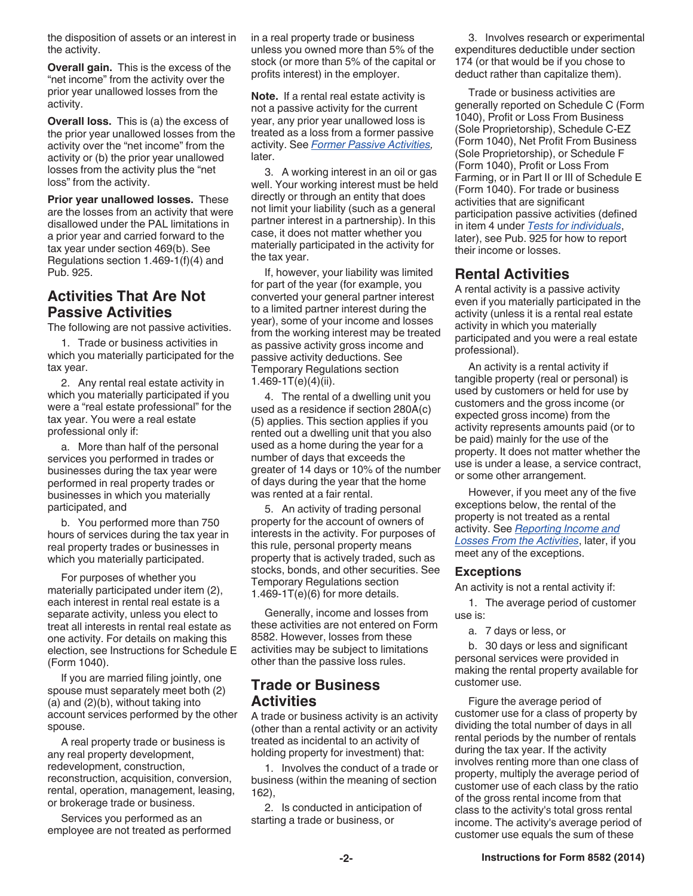<span id="page-1-0"></span>the disposition of assets or an interest in the activity.

**Overall gain.** This is the excess of the "net income" from the activity over the prior year unallowed losses from the activity.

**Overall loss.** This is (a) the excess of the prior year unallowed losses from the activity over the "net income" from the activity or (b) the prior year unallowed losses from the activity plus the "net loss" from the activity.

**Prior year unallowed losses.** These are the losses from an activity that were disallowed under the PAL limitations in a prior year and carried forward to the tax year under section 469(b). See Regulations section 1.469-1(f)(4) and Pub. 925.

## **Activities That Are Not Passive Activities**

The following are not passive activities.

1. Trade or business activities in which you materially participated for the tax year.

2. Any rental real estate activity in which you materially participated if you were a "real estate professional" for the tax year. You were a real estate professional only if:

a. More than half of the personal services you performed in trades or businesses during the tax year were performed in real property trades or businesses in which you materially participated, and

b. You performed more than 750 hours of services during the tax year in real property trades or businesses in which you materially participated.

For purposes of whether you materially participated under item (2), each interest in rental real estate is a separate activity, unless you elect to treat all interests in rental real estate as one activity. For details on making this election, see Instructions for Schedule E (Form 1040).

If you are married filing jointly, one spouse must separately meet both (2) (a) and (2)(b), without taking into account services performed by the other spouse.

A real property trade or business is any real property development, redevelopment, construction, reconstruction, acquisition, conversion, rental, operation, management, leasing, or brokerage trade or business.

Services you performed as an employee are not treated as performed in a real property trade or business unless you owned more than 5% of the stock (or more than 5% of the capital or profits interest) in the employer.

**Note.** If a rental real estate activity is not a passive activity for the current year, any prior year unallowed loss is treated as a loss from a former passive activity. See *[Former Passive Activities](#page-6-0),*  later.

3. A working interest in an oil or gas well. Your working interest must be held directly or through an entity that does not limit your liability (such as a general partner interest in a partnership). In this case, it does not matter whether you materially participated in the activity for the tax year.

If, however, your liability was limited for part of the year (for example, you converted your general partner interest to a limited partner interest during the year), some of your income and losses from the working interest may be treated as passive activity gross income and passive activity deductions. See Temporary Regulations section 1.469-1T $(e)(4)(ii)$ .

4. The rental of a dwelling unit you used as a residence if section 280A(c) (5) applies. This section applies if you rented out a dwelling unit that you also used as a home during the year for a number of days that exceeds the greater of 14 days or 10% of the number of days during the year that the home was rented at a fair rental.

5. An activity of trading personal property for the account of owners of interests in the activity. For purposes of this rule, personal property means property that is actively traded, such as stocks, bonds, and other securities. See Temporary Regulations section 1.469-1 $T(e)$ (6) for more details.

Generally, income and losses from these activities are not entered on Form 8582. However, losses from these activities may be subject to limitations other than the passive loss rules.

## **Trade or Business Activities**

A trade or business activity is an activity (other than a rental activity or an activity treated as incidental to an activity of holding property for investment) that:

1. Involves the conduct of a trade or business (within the meaning of section 162),

2. Is conducted in anticipation of starting a trade or business, or

3. Involves research or experimental expenditures deductible under section 174 (or that would be if you chose to deduct rather than capitalize them).

Trade or business activities are generally reported on Schedule C (Form 1040), Profit or Loss From Business (Sole Proprietorship), Schedule C-EZ (Form 1040), Net Profit From Business (Sole Proprietorship), or Schedule F (Form 1040), Profit or Loss From Farming, or in Part II or III of Schedule E (Form 1040). For trade or business activities that are significant participation passive activities (defined in item 4 under *[Tests for individuals](#page-3-0)*, later), see Pub. 925 for how to report their income or losses.

# **Rental Activities**

A rental activity is a passive activity even if you materially participated in the activity (unless it is a rental real estate activity in which you materially participated and you were a real estate professional).

An activity is a rental activity if tangible property (real or personal) is used by customers or held for use by customers and the gross income (or expected gross income) from the activity represents amounts paid (or to be paid) mainly for the use of the property. It does not matter whether the use is under a lease, a service contract, or some other arrangement.

However, if you meet any of the five exceptions below, the rental of the property is not treated as a rental activity. See *[Reporting Income and](#page-2-0)  [Losses From the Activities](#page-2-0)*, later, if you meet any of the exceptions.

## **Exceptions**

An activity is not a rental activity if:

1. The average period of customer use is:

a. 7 days or less, or

b. 30 days or less and significant personal services were provided in making the rental property available for customer use.

Figure the average period of customer use for a class of property by dividing the total number of days in all rental periods by the number of rentals during the tax year. If the activity involves renting more than one class of property, multiply the average period of customer use of each class by the ratio of the gross rental income from that class to the activity's total gross rental income. The activity's average period of customer use equals the sum of these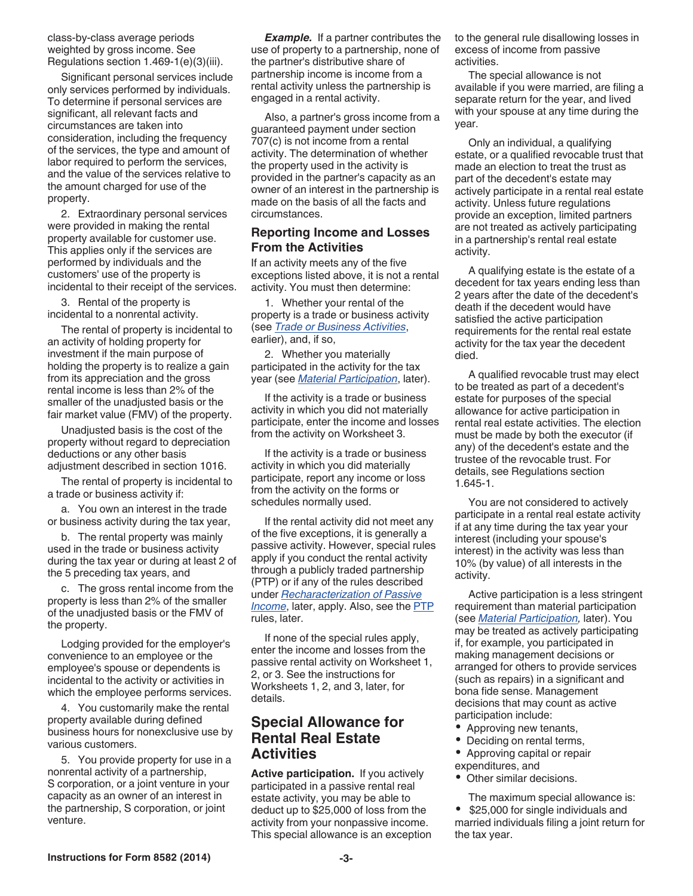<span id="page-2-0"></span>class-by-class average periods weighted by gross income. See Regulations section 1.469-1(e)(3)(iii).

Significant personal services include only services performed by individuals. To determine if personal services are significant, all relevant facts and circumstances are taken into consideration, including the frequency of the services, the type and amount of labor required to perform the services, and the value of the services relative to the amount charged for use of the property.

2. Extraordinary personal services were provided in making the rental property available for customer use. This applies only if the services are performed by individuals and the customers' use of the property is incidental to their receipt of the services.

3. Rental of the property is incidental to a nonrental activity.

The rental of property is incidental to an activity of holding property for investment if the main purpose of holding the property is to realize a gain from its appreciation and the gross rental income is less than 2% of the smaller of the unadjusted basis or the fair market value (FMV) of the property.

Unadjusted basis is the cost of the property without regard to depreciation deductions or any other basis adjustment described in section 1016.

The rental of property is incidental to a trade or business activity if:

a. You own an interest in the trade or business activity during the tax year,

b. The rental property was mainly used in the trade or business activity during the tax year or during at least 2 of the 5 preceding tax years, and

c. The gross rental income from the property is less than 2% of the smaller of the unadjusted basis or the FMV of the property.

Lodging provided for the employer's convenience to an employee or the employee's spouse or dependents is incidental to the activity or activities in which the employee performs services.

4. You customarily make the rental property available during defined business hours for nonexclusive use by various customers.

5. You provide property for use in a nonrental activity of a partnership, S corporation, or a joint venture in your capacity as an owner of an interest in the partnership, S corporation, or joint venture.

*Example.* If a partner contributes the use of property to a partnership, none of the partner's distributive share of partnership income is income from a rental activity unless the partnership is engaged in a rental activity.

Also, a partner's gross income from a guaranteed payment under section 707(c) is not income from a rental activity. The determination of whether the property used in the activity is provided in the partner's capacity as an owner of an interest in the partnership is made on the basis of all the facts and circumstances.

## **Reporting Income and Losses From the Activities**

If an activity meets any of the five exceptions listed above, it is not a rental activity. You must then determine:

1. Whether your rental of the property is a trade or business activity (see *[Trade or Business Activities](#page-1-0)*, earlier), and, if so,

2. Whether you materially participated in the activity for the tax year (see *[Material Participation](#page-3-0)*, later).

If the activity is a trade or business activity in which you did not materially participate, enter the income and losses from the activity on Worksheet 3.

If the activity is a trade or business activity in which you did materially participate, report any income or loss from the activity on the forms or schedules normally used.

If the rental activity did not meet any of the five exceptions, it is generally a passive activity. However, special rules apply if you conduct the rental activity through a publicly traded partnership (PTP) or if any of the rules described under *[Recharacterization of Passive](#page-6-0)  [Income](#page-6-0)*, later, apply. Also, see the **PTP** rules, later.

If none of the special rules apply, enter the income and losses from the passive rental activity on Worksheet 1, 2, or 3. See the instructions for Worksheets 1, 2, and 3, later, for details.

## **Special Allowance for Rental Real Estate Activities**

**Active participation.** If you actively participated in a passive rental real estate activity, you may be able to deduct up to \$25,000 of loss from the activity from your nonpassive income. This special allowance is an exception to the general rule disallowing losses in excess of income from passive activities.

The special allowance is not available if you were married, are filing a separate return for the year, and lived with your spouse at any time during the year.

Only an individual, a qualifying estate, or a qualified revocable trust that made an election to treat the trust as part of the decedent's estate may actively participate in a rental real estate activity. Unless future regulations provide an exception, limited partners are not treated as actively participating in a partnership's rental real estate activity.

A qualifying estate is the estate of a decedent for tax years ending less than 2 years after the date of the decedent's death if the decedent would have satisfied the active participation requirements for the rental real estate activity for the tax year the decedent died.

A qualified revocable trust may elect to be treated as part of a decedent's estate for purposes of the special allowance for active participation in rental real estate activities. The election must be made by both the executor (if any) of the decedent's estate and the trustee of the revocable trust. For details, see Regulations section 1.645-1.

You are not considered to actively participate in a rental real estate activity if at any time during the tax year your interest (including your spouse's interest) in the activity was less than 10% (by value) of all interests in the activity.

Active participation is a less stringent requirement than material participation (see *[Material Participation,](#page-3-0)* later). You may be treated as actively participating if, for example, you participated in making management decisions or arranged for others to provide services (such as repairs) in a significant and bona fide sense. Management decisions that may count as active participation include:

- Approving new tenants,
- Deciding on rental terms,
- $\bullet$ Approving capital or repair
- expenditures, and
- Other similar decisions.
- The maximum special allowance is:

 \$25,000 for single individuals and married individuals filing a joint return for the tax year.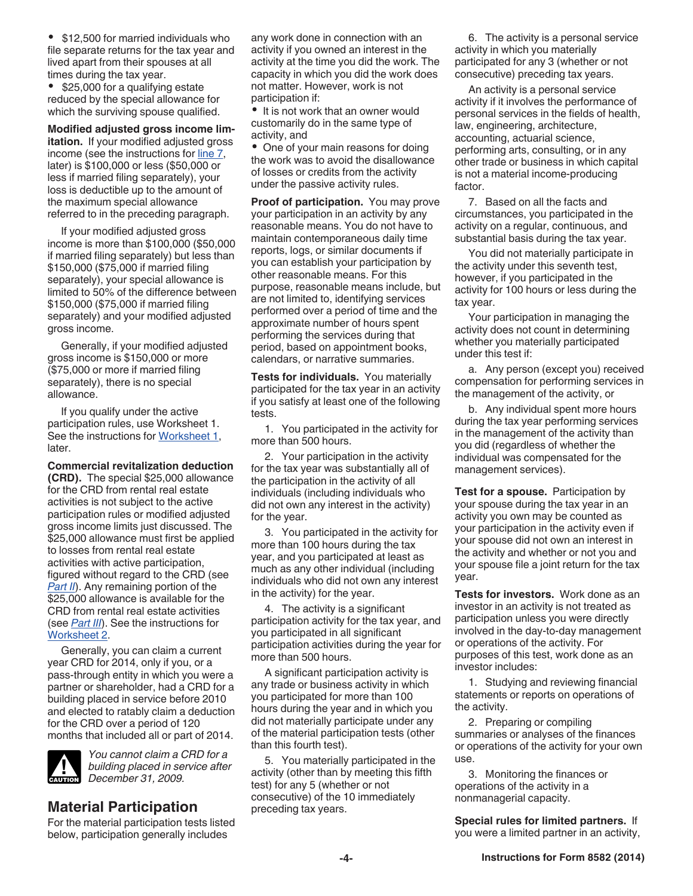<span id="page-3-0"></span>• \$12,500 for married individuals who file separate returns for the tax year and lived apart from their spouses at all times during the tax year.

• \$25,000 for a qualifying estate reduced by the special allowance for which the surviving spouse qualified.

**Modified adjusted gross income limitation.** If your modified adjusted gross income (see the instructions for [line 7](#page-8-0), later) is \$100,000 or less (\$50,000 or less if married filing separately), your loss is deductible up to the amount of the maximum special allowance referred to in the preceding paragraph.

If your modified adjusted gross income is more than \$100,000 (\$50,000 if married filing separately) but less than \$150,000 (\$75,000 if married filing separately), your special allowance is limited to 50% of the difference between \$150,000 (\$75,000 if married filing separately) and your modified adjusted gross income.

Generally, if your modified adjusted gross income is \$150,000 or more (\$75,000 or more if married filing separately), there is no special allowance.

If you qualify under the active participation rules, use Worksheet 1. See the instructions for [Worksheet 1](#page-7-0), later.

**Commercial revitalization deduction (CRD).** The special \$25,000 allowance for the CRD from rental real estate activities is not subject to the active participation rules or modified adjusted gross income limits just discussed. The \$25,000 allowance must first be applied to losses from rental real estate activities with active participation, figured without regard to the CRD (see **[Part II](#page-8-0)**). Any remaining portion of the \$25,000 allowance is available for the CRD from rental real estate activities (see *[Part III](#page-9-0)*). See the instructions for [Worksheet 2.](#page-8-0)

Generally, you can claim a current year CRD for 2014, only if you, or a pass-through entity in which you were a partner or shareholder, had a CRD for a building placed in service before 2010 and elected to ratably claim a deduction for the CRD over a period of 120 months that included all or part of 2014.



*You cannot claim a CRD for a building placed in service after December 31, 2009.* **CAUTION**

# **Material Participation**

For the material participation tests listed below, participation generally includes

any work done in connection with an activity if you owned an interest in the activity at the time you did the work. The capacity in which you did the work does not matter. However, work is not participation if:

• It is not work that an owner would customarily do in the same type of activity, and

One of your main reasons for doing the work was to avoid the disallowance of losses or credits from the activity under the passive activity rules.

**Proof of participation.** You may prove your participation in an activity by any reasonable means. You do not have to maintain contemporaneous daily time reports, logs, or similar documents if you can establish your participation by other reasonable means. For this purpose, reasonable means include, but are not limited to, identifying services performed over a period of time and the approximate number of hours spent performing the services during that period, based on appointment books, calendars, or narrative summaries.

**Tests for individuals.** You materially participated for the tax year in an activity if you satisfy at least one of the following tests.

1. You participated in the activity for more than 500 hours.

2. Your participation in the activity for the tax year was substantially all of the participation in the activity of all individuals (including individuals who did not own any interest in the activity) for the year.

3. You participated in the activity for more than 100 hours during the tax year, and you participated at least as much as any other individual (including individuals who did not own any interest in the activity) for the year.

4. The activity is a significant participation activity for the tax year, and you participated in all significant participation activities during the year for more than 500 hours.

A significant participation activity is any trade or business activity in which you participated for more than 100 hours during the year and in which you did not materially participate under any of the material participation tests (other than this fourth test).

5. You materially participated in the activity (other than by meeting this fifth test) for any 5 (whether or not consecutive) of the 10 immediately preceding tax years.

6. The activity is a personal service activity in which you materially participated for any 3 (whether or not consecutive) preceding tax years.

An activity is a personal service activity if it involves the performance of personal services in the fields of health, law, engineering, architecture, accounting, actuarial science, performing arts, consulting, or in any other trade or business in which capital is not a material income-producing factor.

7. Based on all the facts and circumstances, you participated in the activity on a regular, continuous, and substantial basis during the tax year.

You did not materially participate in the activity under this seventh test, however, if you participated in the activity for 100 hours or less during the tax year.

Your participation in managing the activity does not count in determining whether you materially participated under this test if:

a. Any person (except you) received compensation for performing services in the management of the activity, or

b. Any individual spent more hours during the tax year performing services in the management of the activity than you did (regardless of whether the individual was compensated for the management services).

**Test for a spouse.** Participation by your spouse during the tax year in an activity you own may be counted as your participation in the activity even if your spouse did not own an interest in the activity and whether or not you and your spouse file a joint return for the tax year.

**Tests for investors.** Work done as an investor in an activity is not treated as participation unless you were directly involved in the day-to-day management or operations of the activity. For purposes of this test, work done as an investor includes:

1. Studying and reviewing financial statements or reports on operations of the activity.

2. Preparing or compiling summaries or analyses of the finances or operations of the activity for your own use.

3. Monitoring the finances or operations of the activity in a nonmanagerial capacity.

**Special rules for limited partners.** If you were a limited partner in an activity,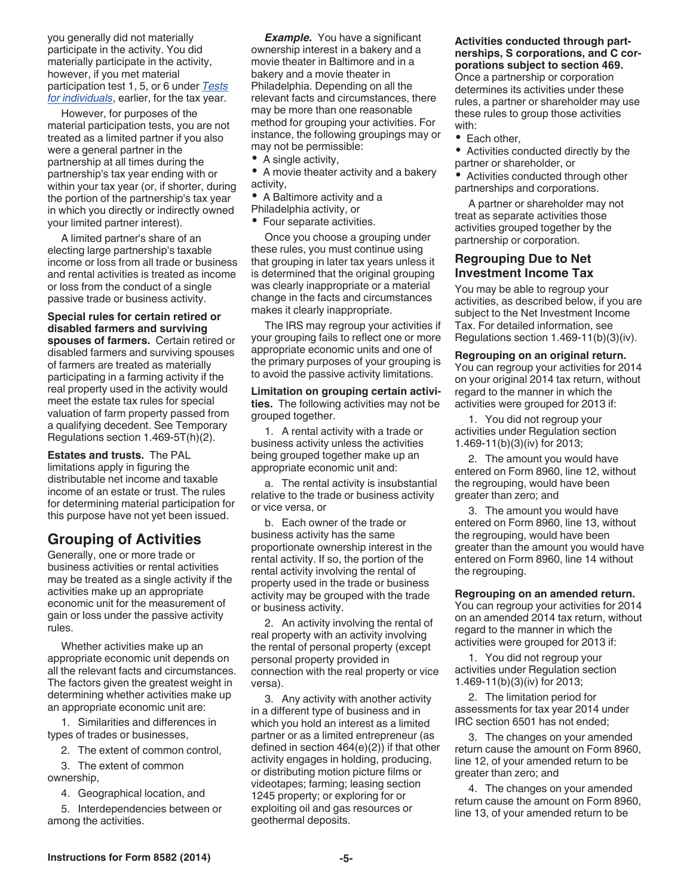<span id="page-4-0"></span>you generally did not materially participate in the activity. You did materially participate in the activity, however, if you met material participation test 1, 5, or 6 under *[Tests](#page-3-0)  [for individuals](#page-3-0)*, earlier, for the tax year.

However, for purposes of the material participation tests, you are not treated as a limited partner if you also were a general partner in the partnership at all times during the partnership's tax year ending with or within your tax year (or, if shorter, during the portion of the partnership's tax year in which you directly or indirectly owned your limited partner interest).

A limited partner's share of an electing large partnership's taxable income or loss from all trade or business and rental activities is treated as income or loss from the conduct of a single passive trade or business activity.

**Special rules for certain retired or disabled farmers and surviving spouses of farmers.** Certain retired or disabled farmers and surviving spouses of farmers are treated as materially participating in a farming activity if the real property used in the activity would meet the estate tax rules for special valuation of farm property passed from a qualifying decedent. See Temporary Regulations section 1.469-5T(h)(2).

**Estates and trusts.** The PAL limitations apply in figuring the distributable net income and taxable income of an estate or trust. The rules for determining material participation for this purpose have not yet been issued.

# **Grouping of Activities**

Generally, one or more trade or business activities or rental activities may be treated as a single activity if the activities make up an appropriate economic unit for the measurement of gain or loss under the passive activity rules.

Whether activities make up an appropriate economic unit depends on all the relevant facts and circumstances. The factors given the greatest weight in determining whether activities make up an appropriate economic unit are:

1. Similarities and differences in types of trades or businesses,

2. The extent of common control,

3. The extent of common ownership,

4. Geographical location, and

5. Interdependencies between or among the activities.

**Example.** You have a significant ownership interest in a bakery and a movie theater in Baltimore and in a bakery and a movie theater in Philadelphia. Depending on all the relevant facts and circumstances, there may be more than one reasonable method for grouping your activities. For instance, the following groupings may or may not be permissible:

• A single activity,

A movie theater activity and a bakery activity,

 $\bullet$ A Baltimore activity and a

Philadelphia activity, or Four separate activities.

Once you choose a grouping under these rules, you must continue using that grouping in later tax years unless it is determined that the original grouping was clearly inappropriate or a material change in the facts and circumstances makes it clearly inappropriate.

The IRS may regroup your activities if your grouping fails to reflect one or more appropriate economic units and one of the primary purposes of your grouping is to avoid the passive activity limitations.

**Limitation on grouping certain activities.** The following activities may not be grouped together.

1. A rental activity with a trade or business activity unless the activities being grouped together make up an appropriate economic unit and:

a. The rental activity is insubstantial relative to the trade or business activity or vice versa, or

b. Each owner of the trade or business activity has the same proportionate ownership interest in the rental activity. If so, the portion of the rental activity involving the rental of property used in the trade or business activity may be grouped with the trade or business activity.

2. An activity involving the rental of real property with an activity involving the rental of personal property (except personal property provided in connection with the real property or vice versa).

3. Any activity with another activity in a different type of business and in which you hold an interest as a limited partner or as a limited entrepreneur (as defined in section 464(e)(2)) if that other activity engages in holding, producing, or distributing motion picture films or videotapes; farming; leasing section 1245 property; or exploring for or exploiting oil and gas resources or geothermal deposits.

#### **Activities conducted through partnerships, S corporations, and C corporations subject to section 469.**

Once a partnership or corporation determines its activities under these rules, a partner or shareholder may use these rules to group those activities with:

• Each other,

Activities conducted directly by the partner or shareholder, or

Activities conducted through other partnerships and corporations.

A partner or shareholder may not treat as separate activities those activities grouped together by the partnership or corporation.

## **Regrouping Due to Net Investment Income Tax**

You may be able to regroup your activities, as described below, if you are subject to the Net Investment Income Tax. For detailed information, see Regulations section 1.469-11(b)(3)(iv).

**Regrouping on an original return.** 

You can regroup your activities for 2014 on your original 2014 tax return, without regard to the manner in which the activities were grouped for 2013 if:

1. You did not regroup your activities under Regulation section 1.469-11(b)(3)(iv) for 2013;

2. The amount you would have entered on Form 8960, line 12, without the regrouping, would have been greater than zero; and

3. The amount you would have entered on Form 8960, line 13, without the regrouping, would have been greater than the amount you would have entered on Form 8960, line 14 without the regrouping.

**Regrouping on an amended return.**  You can regroup your activities for 2014 on an amended 2014 tax return, without

regard to the manner in which the activities were grouped for 2013 if: 1. You did not regroup your activities under Regulation section

1.469-11(b)(3)(iv) for 2013; 2. The limitation period for assessments for tax year 2014 under IRC section 6501 has not ended;

3. The changes on your amended return cause the amount on Form 8960, line 12, of your amended return to be greater than zero; and

4. The changes on your amended return cause the amount on Form 8960, line 13, of your amended return to be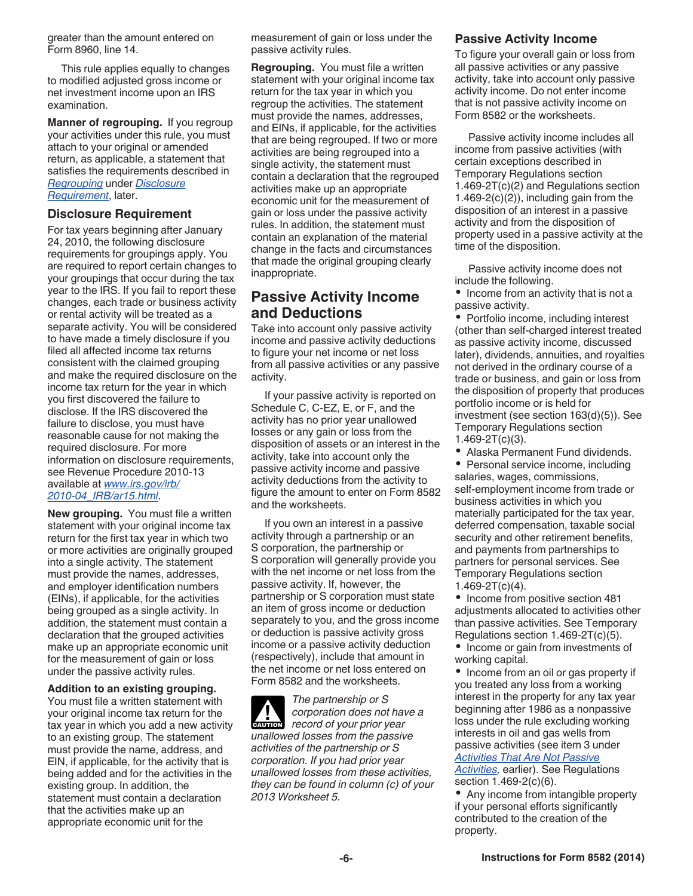<span id="page-5-0"></span>greater than the amount entered on Form 8960, line 14.

This rule applies equally to changes to modified adjusted gross income or net investment income upon an IRS examination.

**Manner of regrouping.** If you regroup your activities under this rule, you must attach to your original or amended return, as applicable, a statement that satisfies the requirements described in *Regrouping* under *Disclosure Requirement*, later.

#### **Disclosure Requirement**

For tax years beginning after January 24, 2010, the following disclosure requirements for groupings apply. You are required to report certain changes to your groupings that occur during the tax year to the IRS. If you fail to report these changes, each trade or business activity or rental activity will be treated as a separate activity. You will be considered to have made a timely disclosure if you filed all affected income tax returns consistent with the claimed grouping and make the required disclosure on the income tax return for the year in which you first discovered the failure to disclose. If the IRS discovered the failure to disclose, you must have reasonable cause for not making the required disclosure. For more information on disclosure requirements, see Revenue Procedure 2010-13 available at *[www.irs.gov/irb/](http://www.irs.gov/irb/2010-04_IRB/ar15.html) [2010-04\\_IRB/ar15.html](http://www.irs.gov/irb/2010-04_IRB/ar15.html)*.

**New grouping.** You must file a written statement with your original income tax return for the first tax year in which two or more activities are originally grouped into a single activity. The statement must provide the names, addresses, and employer identification numbers (EINs), if applicable, for the activities being grouped as a single activity. In addition, the statement must contain a declaration that the grouped activities make up an appropriate economic unit for the measurement of gain or loss under the passive activity rules.

**Addition to an existing grouping.**  You must file a written statement with your original income tax return for the tax year in which you add a new activity to an existing group. The statement must provide the name, address, and EIN, if applicable, for the activity that is being added and for the activities in the existing group. In addition, the statement must contain a declaration that the activities make up an appropriate economic unit for the

measurement of gain or loss under the passive activity rules.

**Regrouping.** You must file a written statement with your original income tax return for the tax year in which you regroup the activities. The statement must provide the names, addresses, and EINs, if applicable, for the activities that are being regrouped. If two or more activities are being regrouped into a single activity, the statement must contain a declaration that the regrouped activities make up an appropriate economic unit for the measurement of gain or loss under the passive activity rules. In addition, the statement must contain an explanation of the material change in the facts and circumstances that made the original grouping clearly inappropriate.

## **Passive Activity Income and Deductions**

Take into account only passive activity income and passive activity deductions to figure your net income or net loss from all passive activities or any passive activity.

If your passive activity is reported on Schedule C, C-EZ, E, or F, and the activity has no prior year unallowed losses or any gain or loss from the disposition of assets or an interest in the activity, take into account only the passive activity income and passive activity deductions from the activity to figure the amount to enter on Form 8582 and the worksheets.

If you own an interest in a passive activity through a partnership or an S corporation, the partnership or S corporation will generally provide you with the net income or net loss from the passive activity. If, however, the partnership or S corporation must state an item of gross income or deduction separately to you, and the gross income or deduction is passive activity gross income or a passive activity deduction (respectively), include that amount in the net income or net loss entered on Form 8582 and the worksheets.

*The partnership or S corporation does not have a record of your prior year record of your prior year unallowed losses from the passive activities of the partnership or S corporation. If you had prior year unallowed losses from these activities, they can be found in column (c) of your 2013 Worksheet 5.*

#### **Passive Activity Income**

To figure your overall gain or loss from all passive activities or any passive activity, take into account only passive activity income. Do not enter income that is not passive activity income on Form 8582 or the worksheets.

Passive activity income includes all income from passive activities (with certain exceptions described in Temporary Regulations section 1.469-2T(c)(2) and Regulations section 1.469-2(c)(2)), including gain from the disposition of an interest in a passive activity and from the disposition of property used in a passive activity at the time of the disposition.

Passive activity income does not include the following.

• Income from an activity that is not a passive activity.

 $\bullet$ Portfolio income, including interest (other than self-charged interest treated as passive activity income, discussed later), dividends, annuities, and royalties not derived in the ordinary course of a trade or business, and gain or loss from the disposition of property that produces portfolio income or is held for investment (see section 163(d)(5)). See Temporary Regulations section 1.469-2T(c)(3).

Alaska Permanent Fund dividends.

• Personal service income, including salaries, wages, commissions, self-employment income from trade or business activities in which you materially participated for the tax year, deferred compensation, taxable social security and other retirement benefits, and payments from partnerships to partners for personal services. See Temporary Regulations section  $1.469 - 2T(c)(4)$ .

• Income from positive section 481 adjustments allocated to activities other than passive activities. See Temporary Regulations section 1.469-2T(c)(5).

• Income or gain from investments of working capital.

• Income from an oil or gas property if you treated any loss from a working interest in the property for any tax year beginning after 1986 as a nonpassive loss under the rule excluding working interests in oil and gas wells from passive activities (see item 3 under *[Activities That Are Not Passive](#page-1-0) [Activities](#page-1-0),* earlier). See Regulations

section 1.469-2(c)(6). • Any income from intangible property if your personal efforts significantly contributed to the creation of the property.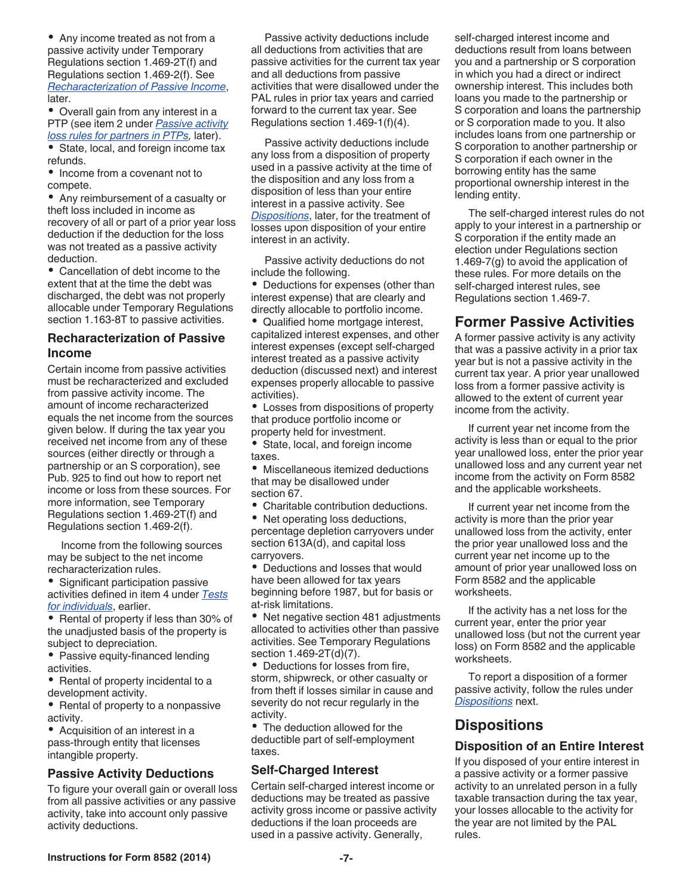<span id="page-6-0"></span>Any income treated as not from a passive activity under Temporary Regulations section 1.469-2T(f) and Regulations section 1.469-2(f). See *Recharacterization of Passive Income*, later.

Overall gain from any interest in a PTP (see item 2 under *[Passive activity](#page-12-0)  [loss rules for partners in PTPs,](#page-12-0)* later).

• State, local, and foreign income tax refunds.

• Income from a covenant not to compete.

Any reimbursement of a casualty or theft loss included in income as recovery of all or part of a prior year loss deduction if the deduction for the loss was not treated as a passive activity deduction.

Cancellation of debt income to the extent that at the time the debt was discharged, the debt was not properly allocable under Temporary Regulations section 1.163-8T to passive activities.

#### **Recharacterization of Passive Income**

Certain income from passive activities must be recharacterized and excluded from passive activity income. The amount of income recharacterized equals the net income from the sources given below. If during the tax year you received net income from any of these sources (either directly or through a partnership or an S corporation), see Pub. 925 to find out how to report net income or loss from these sources. For more information, see Temporary Regulations section 1.469-2T(f) and Regulations section 1.469-2(f).

Income from the following sources may be subject to the net income recharacterization rules.

Significant participation passive activities defined in item 4 under *[Tests](#page-3-0) [for individuals](#page-3-0)*, earlier.

• Rental of property if less than 30% of the unadjusted basis of the property is subject to depreciation.

• Passive equity-financed lending activities.

Rental of property incidental to a development activity.

• Rental of property to a nonpassive activity.

• Acquisition of an interest in a pass-through entity that licenses intangible property.

## **Passive Activity Deductions**

To figure your overall gain or overall loss from all passive activities or any passive activity, take into account only passive activity deductions.

Passive activity deductions include all deductions from activities that are passive activities for the current tax year and all deductions from passive activities that were disallowed under the PAL rules in prior tax years and carried forward to the current tax year. See Regulations section 1.469-1(f)(4).

Passive activity deductions include any loss from a disposition of property used in a passive activity at the time of the disposition and any loss from a disposition of less than your entire interest in a passive activity. See *Dispositions*, later, for the treatment of losses upon disposition of your entire interest in an activity.

Passive activity deductions do not include the following.

Deductions for expenses (other than interest expense) that are clearly and directly allocable to portfolio income.

Qualified home mortgage interest, capitalized interest expenses, and other interest expenses (except self-charged interest treated as a passive activity deduction (discussed next) and interest expenses properly allocable to passive activities).

Losses from dispositions of property that produce portfolio income or property held for investment.

State, local, and foreign income taxes.

Miscellaneous itemized deductions that may be disallowed under section 67.

Charitable contribution deductions.

Net operating loss deductions, percentage depletion carryovers under section 613A(d), and capital loss carryovers.

Deductions and losses that would have been allowed for tax years beginning before 1987, but for basis or at-risk limitations.

• Net negative section 481 adjustments allocated to activities other than passive activities. See Temporary Regulations section 1.469-2T(d)(7).

Deductions for losses from fire, storm, shipwreck, or other casualty or from theft if losses similar in cause and severity do not recur regularly in the activity.

The deduction allowed for the deductible part of self-employment taxes.

## **Self-Charged Interest**

Certain self-charged interest income or deductions may be treated as passive activity gross income or passive activity deductions if the loan proceeds are used in a passive activity. Generally,

self-charged interest income and deductions result from loans between you and a partnership or S corporation in which you had a direct or indirect ownership interest. This includes both loans you made to the partnership or S corporation and loans the partnership or S corporation made to you. It also includes loans from one partnership or S corporation to another partnership or S corporation if each owner in the borrowing entity has the same proportional ownership interest in the lending entity.

The self-charged interest rules do not apply to your interest in a partnership or S corporation if the entity made an election under Regulations section 1.469-7(g) to avoid the application of these rules. For more details on the self-charged interest rules, see Regulations section 1.469-7.

# **Former Passive Activities**

A former passive activity is any activity that was a passive activity in a prior tax year but is not a passive activity in the current tax year. A prior year unallowed loss from a former passive activity is allowed to the extent of current year income from the activity.

If current year net income from the activity is less than or equal to the prior year unallowed loss, enter the prior year unallowed loss and any current year net income from the activity on Form 8582 and the applicable worksheets.

If current year net income from the activity is more than the prior year unallowed loss from the activity, enter the prior year unallowed loss and the current year net income up to the amount of prior year unallowed loss on Form 8582 and the applicable worksheets.

If the activity has a net loss for the current year, enter the prior year unallowed loss (but not the current year loss) on Form 8582 and the applicable worksheets.

To report a disposition of a former passive activity, follow the rules under *Dispositions* next.

# **Dispositions**

## **Disposition of an Entire Interest**

If you disposed of your entire interest in a passive activity or a former passive activity to an unrelated person in a fully taxable transaction during the tax year, your losses allocable to the activity for the year are not limited by the PAL rules.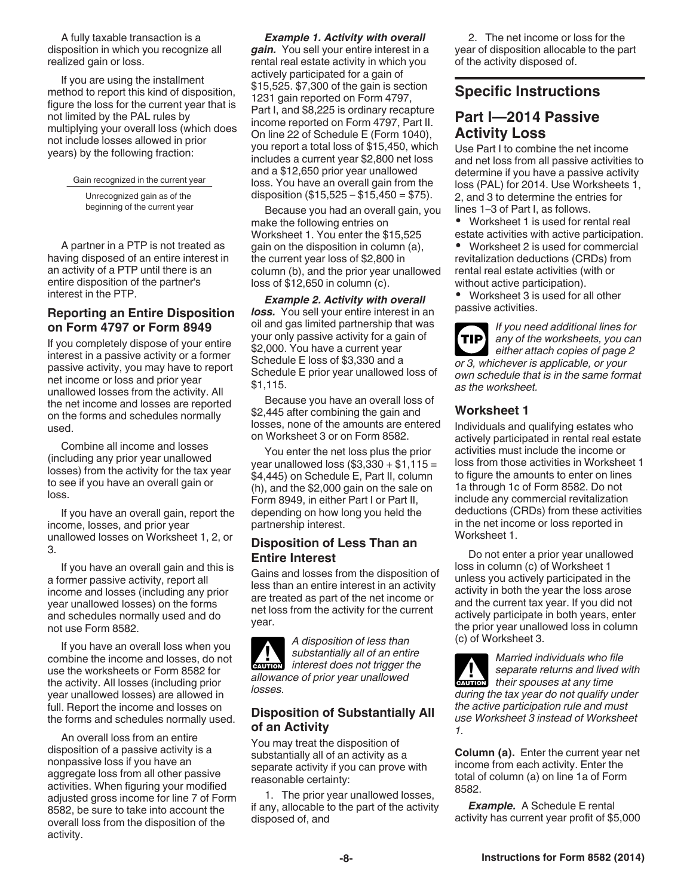<span id="page-7-0"></span>A fully taxable transaction is a disposition in which you recognize all realized gain or loss.

If you are using the installment method to report this kind of disposition, figure the loss for the current year that is not limited by the PAL rules by multiplying your overall loss (which does not include losses allowed in prior years) by the following fraction:

Gain recognized in the current year

Unrecognized gain as of the beginning of the current year

A partner in a PTP is not treated as having disposed of an entire interest in an activity of a PTP until there is an entire disposition of the partner's interest in the PTP.

## **Reporting an Entire Disposition on Form 4797 or Form 8949**

If you completely dispose of your entire interest in a passive activity or a former passive activity, you may have to report net income or loss and prior year unallowed losses from the activity. All the net income and losses are reported on the forms and schedules normally used.

Combine all income and losses (including any prior year unallowed losses) from the activity for the tax year to see if you have an overall gain or loss.

If you have an overall gain, report the income, losses, and prior year unallowed losses on Worksheet 1, 2, or 3.

If you have an overall gain and this is a former passive activity, report all income and losses (including any prior year unallowed losses) on the forms and schedules normally used and do not use Form 8582.

If you have an overall loss when you combine the income and losses, do not use the worksheets or Form 8582 for the activity. All losses (including prior year unallowed losses) are allowed in full. Report the income and losses on the forms and schedules normally used.

An overall loss from an entire disposition of a passive activity is a nonpassive loss if you have an aggregate loss from all other passive activities. When figuring your modified adjusted gross income for line 7 of Form 8582, be sure to take into account the overall loss from the disposition of the activity.

*Example 1. Activity with overall gain.* You sell your entire interest in a rental real estate activity in which you actively participated for a gain of \$15,525. \$7,300 of the gain is section 1231 gain reported on Form 4797, Part I, and \$8,225 is ordinary recapture income reported on Form 4797, Part II. On line 22 of Schedule E (Form 1040), you report a total loss of \$15,450, which includes a current year \$2,800 net loss and a \$12,650 prior year unallowed loss. You have an overall gain from the disposition  $(\$15,525 - \$15,450 = \$75)$ .

Because you had an overall gain, you make the following entries on Worksheet 1. You enter the \$15,525 gain on the disposition in column (a), the current year loss of \$2,800 in column (b), and the prior year unallowed loss of \$12,650 in column (c).

*Example 2. Activity with overall loss.* You sell your entire interest in an oil and gas limited partnership that was your only passive activity for a gain of \$2,000. You have a current year Schedule E loss of \$3,330 and a Schedule E prior year unallowed loss of \$1,115.

Because you have an overall loss of \$2,445 after combining the gain and losses, none of the amounts are entered on Worksheet 3 or on Form 8582.

You enter the net loss plus the prior year unallowed loss  $(\$3,330 + \$1,115 =$ \$4,445) on Schedule E, Part II, column (h), and the \$2,000 gain on the sale on Form 8949, in either Part I or Part II, depending on how long you held the partnership interest.

## **Disposition of Less Than an Entire Interest**

Gains and losses from the disposition of less than an entire interest in an activity are treated as part of the net income or net loss from the activity for the current year.

*A disposition of less than substantially all of an entire*  **k** substantially all of an entire<br>
interest does not trigger the *allowance of prior year unallowed losses.*

## **Disposition of Substantially All of an Activity**

You may treat the disposition of substantially all of an activity as a separate activity if you can prove with reasonable certainty:

1. The prior year unallowed losses, if any, allocable to the part of the activity disposed of, and

2. The net income or loss for the year of disposition allocable to the part of the activity disposed of.

## **Specific Instructions**

# **Part I—2014 Passive Activity Loss**

Use Part I to combine the net income and net loss from all passive activities to determine if you have a passive activity loss (PAL) for 2014. Use Worksheets 1, 2, and 3 to determine the entries for lines 1–3 of Part I, as follows.

 Worksheet 1 is used for rental real estate activities with active participation.

 Worksheet 2 is used for commercial revitalization deductions (CRDs) from rental real estate activities (with or without active participation).

 Worksheet 3 is used for all other passive activities.

*If you need additional lines for any of the worksheets, you can either attach copies of page 2 or 3, whichever is applicable, or your own schedule that is in the same format as the worksheet.* **TIP**

## **Worksheet 1**

Individuals and qualifying estates who actively participated in rental real estate activities must include the income or loss from those activities in Worksheet 1 to figure the amounts to enter on lines 1a through 1c of Form 8582. Do not include any commercial revitalization deductions (CRDs) from these activities in the net income or loss reported in Worksheet 1.

Do not enter a prior year unallowed loss in column (c) of Worksheet 1 unless you actively participated in the activity in both the year the loss arose and the current tax year. If you did not actively participate in both years, enter the prior year unallowed loss in column (c) of Worksheet 3.

*Married individuals who file separate returns and lived with*  **caution** separate returns and lived<br>
their spouses at any time *during the tax year do not qualify under the active participation rule and must use Worksheet 3 instead of Worksheet 1.*

**Column (a).** Enter the current year net income from each activity. Enter the total of column (a) on line 1a of Form 8582.

*Example.* A Schedule E rental activity has current year profit of \$5,000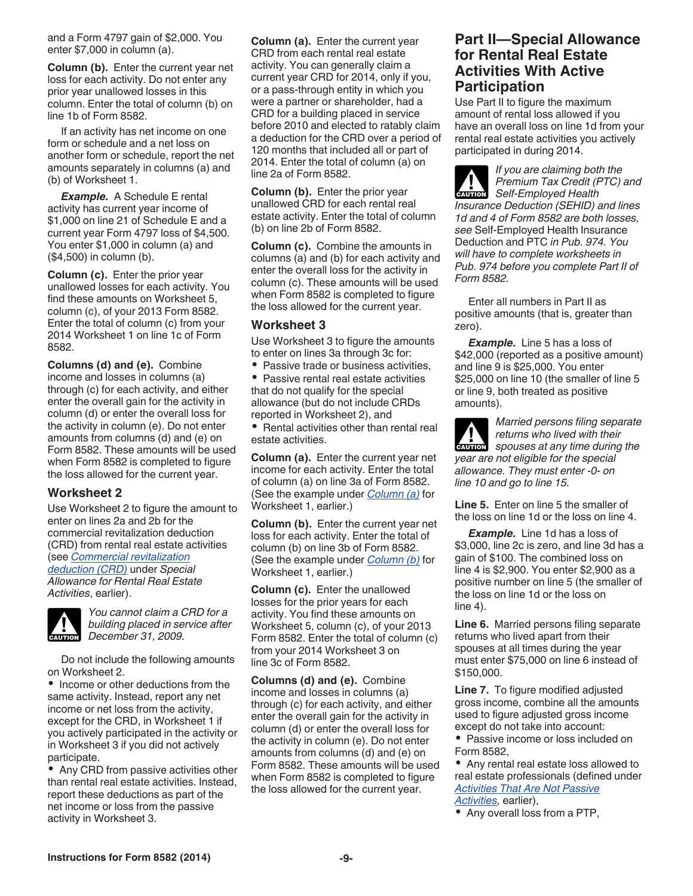<span id="page-8-0"></span>and a Form 4797 gain of \$2,000. You enter \$7,000 in column (a).

**Column (b).** Enter the current year net loss for each activity. Do not enter any prior year unallowed losses in this column. Enter the total of column (b) on line 1b of Form 8582.

If an activity has net income on one form or schedule and a net loss on another form or schedule, report the net amounts separately in columns (a) and (b) of Worksheet 1.

*Example.* A Schedule E rental activity has current year income of \$1,000 on line 21 of Schedule E and a current year Form 4797 loss of \$4,500. You enter \$1,000 in column (a) and (\$4,500) in column (b).

**Column (c).** Enter the prior year unallowed losses for each activity. You find these amounts on Worksheet 5, column (c), of your 2013 Form 8582. Enter the total of column (c) from your 2014 Worksheet 1 on line 1c of Form 8582.

**Columns (d) and (e).** Combine income and losses in columns (a) through (c) for each activity, and either enter the overall gain for the activity in column (d) or enter the overall loss for the activity in column (e). Do not enter amounts from columns (d) and (e) on Form 8582. These amounts will be used when Form 8582 is completed to figure the loss allowed for the current year.

#### **Worksheet 2**

Use Worksheet 2 to figure the amount to enter on lines 2a and 2b for the commercial revitalization deduction (CRD) from rental real estate activities (see *[Commercial revitalization](#page-3-0)  [deduction \(CRD\)](#page-3-0)* under *Special Allowance for Rental Real Estate Activities*, earlier).



*You cannot claim a CRD for a building placed in service after*  **building placed in se**<br> **December 31, 2009.** 

Do not include the following amounts on Worksheet 2.

• Income or other deductions from the same activity. Instead, report any net income or net loss from the activity, except for the CRD, in Worksheet 1 if you actively participated in the activity or in Worksheet 3 if you did not actively participate.

• Any CRD from passive activities other than rental real estate activities. Instead, report these deductions as part of the net income or loss from the passive activity in Worksheet 3.

**Column (a).** Enter the current year CRD from each rental real estate activity. You can generally claim a current year CRD for 2014, only if you, or a pass-through entity in which you were a partner or shareholder, had a CRD for a building placed in service before 2010 and elected to ratably claim a deduction for the CRD over a period of 120 months that included all or part of 2014. Enter the total of column (a) on line 2a of Form 8582.

**Column (b).** Enter the prior year unallowed CRD for each rental real estate activity. Enter the total of column (b) on line 2b of Form 8582.

**Column (c).** Combine the amounts in columns (a) and (b) for each activity and enter the overall loss for the activity in column (c). These amounts will be used when Form 8582 is completed to figure the loss allowed for the current year.

#### **Worksheet 3**

Use Worksheet 3 to figure the amounts to enter on lines 3a through 3c for:

 $\bullet$ Passive trade or business activities, • Passive rental real estate activities that do not qualify for the special

allowance (but do not include CRDs reported in Worksheet 2), and • Rental activities other than rental real

estate activities.

**Column (a).** Enter the current year net income for each activity. Enter the total of column (a) on line 3a of Form 8582. (See the example under *[Column \(a\)](#page-7-0)* for Worksheet 1, earlier.)

**Column (b).** Enter the current year net loss for each activity. Enter the total of column (b) on line 3b of Form 8582. (See the example under *Column (b)* for Worksheet 1, earlier.)

**Column (c).** Enter the unallowed losses for the prior years for each activity. You find these amounts on Worksheet 5, column (c), of your 2013 Form 8582. Enter the total of column (c) from your 2014 Worksheet 3 on line 3c of Form 8582.

**Columns (d) and (e).** Combine income and losses in columns (a) through (c) for each activity, and either enter the overall gain for the activity in column (d) or enter the overall loss for the activity in column (e). Do not enter amounts from columns (d) and (e) on Form 8582. These amounts will be used when Form 8582 is completed to figure the loss allowed for the current year.

## **Part II—Special Allowance for Rental Real Estate Activities With Active Participation**

Use Part II to figure the maximum amount of rental loss allowed if you have an overall loss on line 1d from your rental real estate activities you actively participated in during 2014.

*If you are claiming both the Premium Tax Credit (PTC) and*  **Premium Tax Credit (P**<br> **CAUTION** Self-Employed Health *Insurance Deduction (SEHID) and lines 1d and 4 of Form 8582 are both losses, see* Self-Employed Health Insurance Deduction and PTC *in Pub. 974. You will have to complete worksheets in Pub. 974 before you complete Part II of Form 8582.*

Enter all numbers in Part II as positive amounts (that is, greater than zero).

*Example.* Line 5 has a loss of \$42,000 (reported as a positive amount) and line 9 is \$25,000. You enter \$25,000 on line 10 (the smaller of line 5 or line 9, both treated as positive amounts).

*Married persons filing separate returns who lived with their*  **z** *spouses at any time during the year are not eligible for the special allowance. They must enter -0- on line 10 and go to line 15.*

**Line 5.** Enter on line 5 the smaller of the loss on line 1d or the loss on line 4.

*Example.* Line 1d has a loss of \$3,000, line 2c is zero, and line 3d has a gain of \$100. The combined loss on line 4 is \$2,900. You enter \$2,900 as a positive number on line 5 (the smaller of the loss on line 1d or the loss on line 4).

**Line 6.** Married persons filing separate returns who lived apart from their spouses at all times during the year must enter \$75,000 on line 6 instead of \$150,000.

**Line 7.** To figure modified adjusted gross income, combine all the amounts used to figure adjusted gross income except do not take into account:

• Passive income or loss included on Form 8582,

Any rental real estate loss allowed to real estate professionals (defined under *[Activities That Are Not Passive](#page-1-0) [Activities](#page-1-0),* earlier),

Any overall loss from a PTP,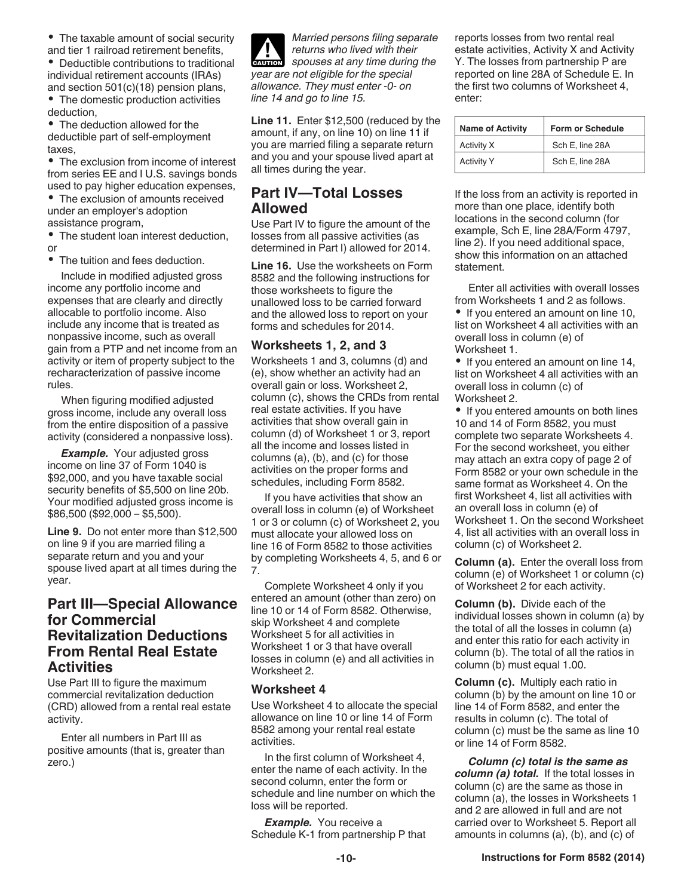<span id="page-9-0"></span>• The taxable amount of social security and tier 1 railroad retirement benefits,

Deductible contributions to traditional individual retirement accounts (IRAs) and section 501(c)(18) pension plans,

• The domestic production activities deduction,

The deduction allowed for the deductible part of self-employment taxes,

The exclusion from income of interest from series EE and I U.S. savings bonds used to pay higher education expenses,

The exclusion of amounts received under an employer's adoption assistance program,

• The student loan interest deduction, or

The tuition and fees deduction.

Include in modified adjusted gross income any portfolio income and expenses that are clearly and directly allocable to portfolio income. Also include any income that is treated as nonpassive income, such as overall gain from a PTP and net income from an activity or item of property subject to the recharacterization of passive income rules.

When figuring modified adjusted gross income, include any overall loss from the entire disposition of a passive activity (considered a nonpassive loss).

*Example.* Your adjusted gross income on line 37 of Form 1040 is \$92,000, and you have taxable social security benefits of \$5,500 on line 20b. Your modified adjusted gross income is \$86,500 (\$92,000 – \$5,500).

**Line 9.** Do not enter more than \$12,500 on line 9 if you are married filing a separate return and you and your spouse lived apart at all times during the year.

## **Part III—Special Allowance for Commercial Revitalization Deductions From Rental Real Estate Activities**

Use Part III to figure the maximum commercial revitalization deduction (CRD) allowed from a rental real estate activity.

Enter all numbers in Part III as positive amounts (that is, greater than zero.)

*Married persons filing separate returns who lived with their*  **z** *spouses at any time during the year are not eligible for the special allowance. They must enter -0- on line 14 and go to line 15.*

**Line 11.** Enter \$12,500 (reduced by the amount, if any, on line 10) on line 11 if you are married filing a separate return and you and your spouse lived apart at all times during the year.

# **Part IV—Total Losses Allowed**

Use Part IV to figure the amount of the losses from all passive activities (as determined in Part I) allowed for 2014.

**Line 16.** Use the worksheets on Form 8582 and the following instructions for those worksheets to figure the unallowed loss to be carried forward and the allowed loss to report on your forms and schedules for 2014.

## **Worksheets 1, 2, and 3**

Worksheets 1 and 3, columns (d) and (e), show whether an activity had an overall gain or loss. Worksheet 2, column (c), shows the CRDs from rental real estate activities. If you have activities that show overall gain in column (d) of Worksheet 1 or 3, report all the income and losses listed in columns (a), (b), and (c) for those activities on the proper forms and schedules, including Form 8582.

If you have activities that show an overall loss in column (e) of Worksheet 1 or 3 or column (c) of Worksheet 2, you must allocate your allowed loss on line 16 of Form 8582 to those activities by completing Worksheets 4, 5, and 6 or 7.

Complete Worksheet 4 only if you entered an amount (other than zero) on line 10 or 14 of Form 8582. Otherwise, skip Worksheet 4 and complete Worksheet 5 for all activities in Worksheet 1 or 3 that have overall losses in column (e) and all activities in Worksheet 2.

## **Worksheet 4**

Use Worksheet 4 to allocate the special allowance on line 10 or line 14 of Form 8582 among your rental real estate activities.

In the first column of Worksheet 4, enter the name of each activity. In the second column, enter the form or schedule and line number on which the loss will be reported.

**Example.** You receive a Schedule K-1 from partnership P that reports losses from two rental real estate activities, Activity X and Activity Y. The losses from partnership P are reported on line 28A of Schedule E. In the first two columns of Worksheet 4, enter:

| <b>Name of Activity</b> | <b>Form or Schedule</b> |  |
|-------------------------|-------------------------|--|
| Activity X              | Sch E. line 28A         |  |
| <b>Activity Y</b>       | Sch E, line 28A         |  |

If the loss from an activity is reported in more than one place, identify both locations in the second column (for example, Sch E, line 28A/Form 4797, line 2). If you need additional space, show this information on an attached statement.

Enter all activities with overall losses from Worksheets 1 and 2 as follows.

• If you entered an amount on line 10, list on Worksheet 4 all activities with an overall loss in column (e) of Worksheet 1.

• If you entered an amount on line 14, list on Worksheet 4 all activities with an overall loss in column (c) of Worksheet 2.

• If you entered amounts on both lines 10 and 14 of Form 8582, you must complete two separate Worksheets 4. For the second worksheet, you either may attach an extra copy of page 2 of Form 8582 or your own schedule in the same format as Worksheet 4. On the first Worksheet 4, list all activities with an overall loss in column (e) of Worksheet 1. On the second Worksheet 4, list all activities with an overall loss in column (c) of Worksheet 2.

**Column (a).** Enter the overall loss from column (e) of Worksheet 1 or column (c) of Worksheet 2 for each activity.

**Column (b).** Divide each of the individual losses shown in column (a) by the total of all the losses in column (a) and enter this ratio for each activity in column (b). The total of all the ratios in column (b) must equal 1.00.

**Column (c).** Multiply each ratio in column (b) by the amount on line 10 or line 14 of Form 8582, and enter the results in column (c). The total of column (c) must be the same as line 10 or line 14 of Form 8582.

*Column (c) total is the same as column (a) total.* If the total losses in column (c) are the same as those in column (a), the losses in Worksheets 1 and 2 are allowed in full and are not carried over to Worksheet 5. Report all amounts in columns (a), (b), and (c) of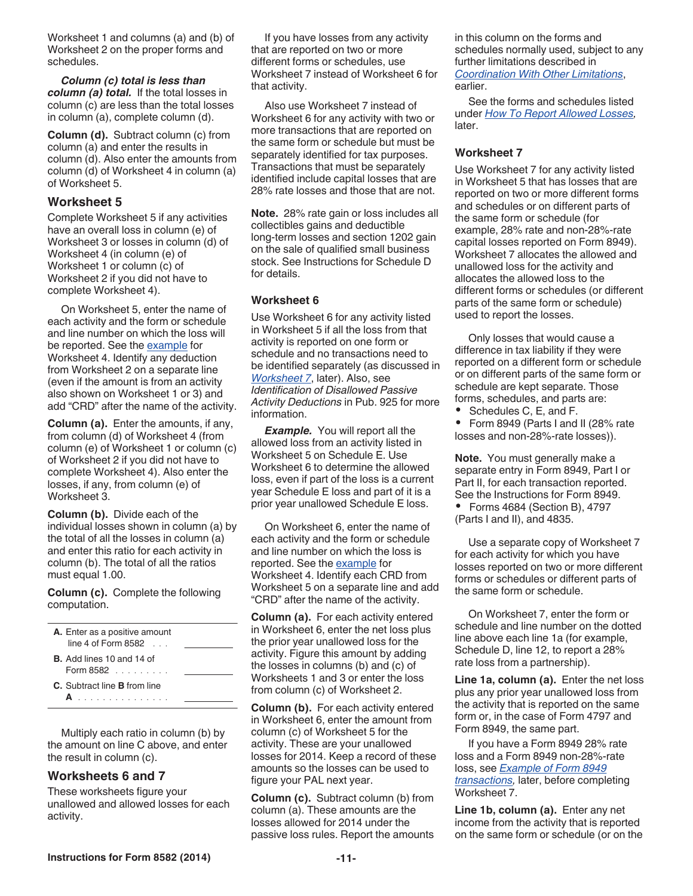Worksheet 1 and columns (a) and (b) of Worksheet 2 on the proper forms and schedules.

*Column (c) total is less than column (a) total.* If the total losses in column (c) are less than the total losses in column (a), complete column (d).

**Column (d).** Subtract column (c) from column (a) and enter the results in column (d). Also enter the amounts from column (d) of Worksheet 4 in column (a) of Worksheet 5.

## **Worksheet 5**

Complete Worksheet 5 if any activities have an overall loss in column (e) of Worksheet 3 or losses in column (d) of Worksheet 4 (in column (e) of Worksheet 1 or column (c) of Worksheet 2 if you did not have to complete Worksheet 4).

On Worksheet 5, enter the name of each activity and the form or schedule and line number on which the loss will be reported. See the [example](#page-9-0) for Worksheet 4. Identify any deduction from Worksheet 2 on a separate line (even if the amount is from an activity also shown on Worksheet 1 or 3) and add "CRD" after the name of the activity.

**Column (a).** Enter the amounts, if any, from column (d) of Worksheet 4 (from column (e) of Worksheet 1 or column (c) of Worksheet 2 if you did not have to complete Worksheet 4). Also enter the losses, if any, from column (e) of Worksheet 3.

**Column (b).** Divide each of the individual losses shown in column (a) by the total of all the losses in column (a) and enter this ratio for each activity in column (b). The total of all the ratios must equal 1.00.

**Column (c).** Complete the following computation.

| A. Enter as a positive amount<br>$line 4$ of Form 8582 $\ldots$ |  |
|-----------------------------------------------------------------|--|
| <b>B.</b> Add lines 10 and 14 of<br>Form $8582$                 |  |
| <b>C.</b> Subtract line <b>B</b> from line                      |  |

Multiply each ratio in column (b) by the amount on line C above, and enter the result in column (c).

## **Worksheets 6 and 7**

These worksheets figure your unallowed and allowed losses for each activity.

If you have losses from any activity that are reported on two or more different forms or schedules, use Worksheet 7 instead of Worksheet 6 for that activity.

Also use Worksheet 7 instead of Worksheet 6 for any activity with two or more transactions that are reported on the same form or schedule but must be separately identified for tax purposes. Transactions that must be separately identified include capital losses that are 28% rate losses and those that are not.

**Note.** 28% rate gain or loss includes all collectibles gains and deductible long-term losses and section 1202 gain on the sale of qualified small business stock. See Instructions for Schedule D for details.

#### **Worksheet 6**

Use Worksheet 6 for any activity listed in Worksheet 5 if all the loss from that activity is reported on one form or schedule and no transactions need to be identified separately (as discussed in *Worksheet 7*, later). Also, see *Identification of Disallowed Passive Activity Deductions* in Pub. 925 for more information.

**Example.** You will report all the allowed loss from an activity listed in Worksheet 5 on Schedule E. Use Worksheet 6 to determine the allowed loss, even if part of the loss is a current year Schedule E loss and part of it is a prior year unallowed Schedule E loss.

On Worksheet 6, enter the name of each activity and the form or schedule and line number on which the loss is reported. See the [example](#page-9-0) for Worksheet 4. Identify each CRD from Worksheet 5 on a separate line and add "CRD" after the name of the activity.

**Column (a).** For each activity entered in Worksheet 6, enter the net loss plus the prior year unallowed loss for the activity. Figure this amount by adding the losses in columns (b) and (c) of Worksheets 1 and 3 or enter the loss from column (c) of Worksheet 2.

**Column (b).** For each activity entered in Worksheet 6, enter the amount from column (c) of Worksheet 5 for the activity. These are your unallowed losses for 2014. Keep a record of these amounts so the losses can be used to figure your PAL next year.

**Column (c).** Subtract column (b) from column (a). These amounts are the losses allowed for 2014 under the passive loss rules. Report the amounts

in this column on the forms and schedules normally used, subject to any further limitations described in *[Coordination With Other Limitations](#page-0-0)*, earlier.

See the forms and schedules listed under *[How To Report Allowed Losses,](#page-11-0)*  later.

#### **Worksheet 7**

Use Worksheet 7 for any activity listed in Worksheet 5 that has losses that are reported on two or more different forms and schedules or on different parts of the same form or schedule (for example, 28% rate and non-28%-rate capital losses reported on Form 8949). Worksheet 7 allocates the allowed and unallowed loss for the activity and allocates the allowed loss to the different forms or schedules (or different parts of the same form or schedule) used to report the losses.

Only losses that would cause a difference in tax liability if they were reported on a different form or schedule or on different parts of the same form or schedule are kept separate. Those forms, schedules, and parts are:

Schedules C, E, and F.

 Form 8949 (Parts I and II (28% rate losses and non-28%-rate losses)).

**Note.** You must generally make a separate entry in Form 8949, Part I or Part II, for each transaction reported. See the Instructions for Form 8949. • Forms 4684 (Section B), 4797 (Parts I and II), and 4835.

Use a separate copy of Worksheet 7 for each activity for which you have losses reported on two or more different forms or schedules or different parts of the same form or schedule.

On Worksheet 7, enter the form or schedule and line number on the dotted line above each line 1a (for example, Schedule D, line 12, to report a 28% rate loss from a partnership).

**Line 1a, column (a).** Enter the net loss plus any prior year unallowed loss from the activity that is reported on the same form or, in the case of Form 4797 and Form 8949, the same part.

If you have a Form 8949 28% rate loss and a Form 8949 non-28%-rate loss, see *[Example of Form 8949](#page-11-0) [transactions](#page-11-0),* later, before completing Worksheet 7.

**Line 1b, column (a).** Enter any net income from the activity that is reported on the same form or schedule (or on the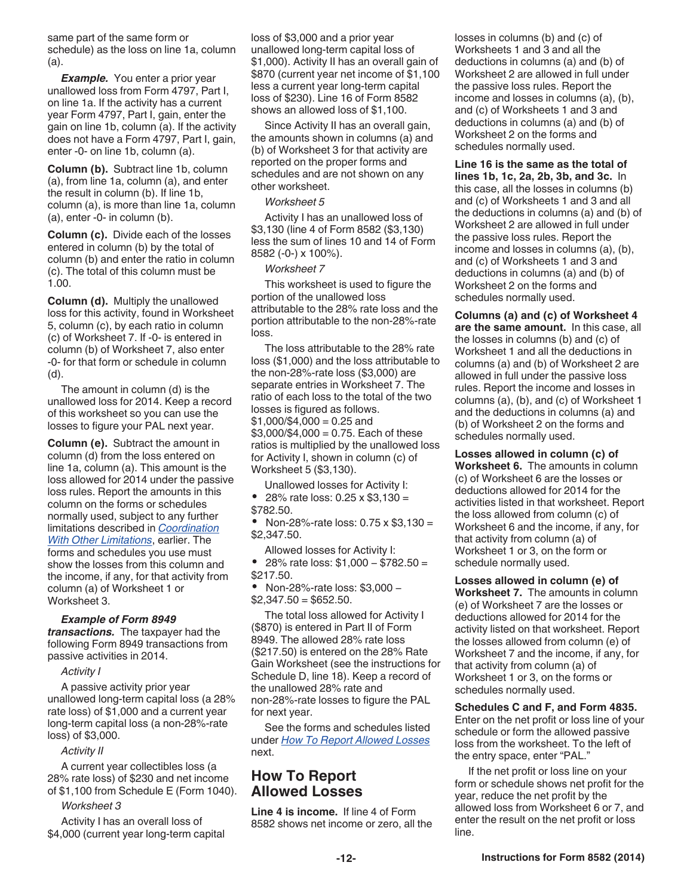<span id="page-11-0"></span>same part of the same form or schedule) as the loss on line 1a, column (a).

*Example.* You enter a prior year unallowed loss from Form 4797, Part I, on line 1a. If the activity has a current year Form 4797, Part I, gain, enter the gain on line 1b, column (a). If the activity does not have a Form 4797, Part I, gain, enter -0- on line 1b, column (a).

**Column (b).** Subtract line 1b, column (a), from line 1a, column (a), and enter the result in column (b). If line 1b, column (a), is more than line 1a, column (a), enter -0- in column (b).

**Column (c).** Divide each of the losses entered in column (b) by the total of column (b) and enter the ratio in column (c). The total of this column must be 1.00.

**Column (d).** Multiply the unallowed loss for this activity, found in Worksheet 5, column (c), by each ratio in column (c) of Worksheet 7. If -0- is entered in column (b) of Worksheet 7, also enter -0- for that form or schedule in column (d).

The amount in column (d) is the unallowed loss for 2014. Keep a record of this worksheet so you can use the losses to figure your PAL next year.

**Column (e).** Subtract the amount in column (d) from the loss entered on line 1a, column (a). This amount is the loss allowed for 2014 under the passive loss rules. Report the amounts in this column on the forms or schedules normally used, subject to any further limitations described in *[Coordination](#page-0-0)  [With Other Limitations](#page-0-0)*, earlier. The forms and schedules you use must show the losses from this column and the income, if any, for that activity from column (a) of Worksheet 1 or Worksheet 3.

#### *Example of Form 8949*

*transactions.* The taxpayer had the following Form 8949 transactions from passive activities in 2014.

#### *Activity I*

A passive activity prior year unallowed long-term capital loss (a 28% rate loss) of \$1,000 and a current year long-term capital loss (a non-28%-rate loss) of \$3,000.

#### *Activity II*

A current year collectibles loss (a 28% rate loss) of \$230 and net income of \$1,100 from Schedule E (Form 1040).

#### *Worksheet 3*

Activity I has an overall loss of \$4,000 (current year long-term capital loss of \$3,000 and a prior year unallowed long-term capital loss of \$1,000). Activity II has an overall gain of \$870 (current year net income of \$1,100 less a current year long-term capital loss of \$230). Line 16 of Form 8582 shows an allowed loss of \$1,100.

Since Activity II has an overall gain, the amounts shown in columns (a) and (b) of Worksheet 3 for that activity are reported on the proper forms and schedules and are not shown on any other worksheet.

#### *Worksheet 5*

Activity I has an unallowed loss of \$3,130 (line 4 of Form 8582 (\$3,130) less the sum of lines 10 and 14 of Form 8582 (-0-) x 100%).

#### *Worksheet 7*

This worksheet is used to figure the portion of the unallowed loss attributable to the 28% rate loss and the portion attributable to the non-28%-rate loss.

The loss attributable to the 28% rate loss (\$1,000) and the loss attributable to the non-28%-rate loss (\$3,000) are separate entries in Worksheet 7. The ratio of each loss to the total of the two losses is figured as follows.  $$1,000/\$4,000 = 0.25$  and  $$3,000$ /\$4,000 = 0.75. Each of these ratios is multiplied by the unallowed loss for Activity I, shown in column (c) of Worksheet 5 (\$3,130).

Unallowed losses for Activity I:

 28% rate loss: 0.25 x \$3,130 = \$782.50.

• Non-28%-rate loss:  $0.75 \times $3,130 =$ \$2,347.50.

Allowed losses for Activity I: 28% rate loss: \$1,000 − \$782.50 = \$217.50.

- Non-28%-rate loss: \$3,000 −
- $$2,347.50 = $652.50$ .

The total loss allowed for Activity I (\$870) is entered in Part II of Form 8949. The allowed 28% rate loss (\$217.50) is entered on the 28% Rate Gain Worksheet (see the instructions for Schedule D, line 18). Keep a record of the unallowed 28% rate and non-28%-rate losses to figure the PAL for next year.

See the forms and schedules listed under *How To Report Allowed Losses*  next.

## **How To Report Allowed Losses**

**Line 4 is income.** If line 4 of Form 8582 shows net income or zero, all the losses in columns (b) and (c) of Worksheets 1 and 3 and all the deductions in columns (a) and (b) of Worksheet 2 are allowed in full under the passive loss rules. Report the income and losses in columns (a), (b), and (c) of Worksheets 1 and 3 and deductions in columns (a) and (b) of Worksheet 2 on the forms and schedules normally used.

**Line 16 is the same as the total of lines 1b, 1c, 2a, 2b, 3b, and 3c.** In this case, all the losses in columns (b) and (c) of Worksheets 1 and 3 and all the deductions in columns (a) and (b) of Worksheet 2 are allowed in full under the passive loss rules. Report the income and losses in columns (a), (b), and (c) of Worksheets 1 and 3 and deductions in columns (a) and (b) of Worksheet 2 on the forms and schedules normally used.

**Columns (a) and (c) of Worksheet 4 are the same amount.** In this case, all the losses in columns (b) and (c) of Worksheet 1 and all the deductions in columns (a) and (b) of Worksheet 2 are allowed in full under the passive loss rules. Report the income and losses in columns (a), (b), and (c) of Worksheet 1 and the deductions in columns (a) and (b) of Worksheet 2 on the forms and schedules normally used.

**Losses allowed in column (c) of Worksheet 6.** The amounts in column (c) of Worksheet 6 are the losses or deductions allowed for 2014 for the activities listed in that worksheet. Report the loss allowed from column (c) of Worksheet 6 and the income, if any, for that activity from column (a) of Worksheet 1 or 3, on the form or schedule normally used.

**Losses allowed in column (e) of Worksheet 7.** The amounts in column (e) of Worksheet 7 are the losses or deductions allowed for 2014 for the activity listed on that worksheet. Report the losses allowed from column (e) of Worksheet 7 and the income, if any, for that activity from column (a) of Worksheet 1 or 3, on the forms or schedules normally used.

**Schedules C and F, and Form 4835.**  Enter on the net profit or loss line of your schedule or form the allowed passive loss from the worksheet. To the left of the entry space, enter "PAL."

If the net profit or loss line on your form or schedule shows net profit for the year, reduce the net profit by the allowed loss from Worksheet 6 or 7, and enter the result on the net profit or loss line.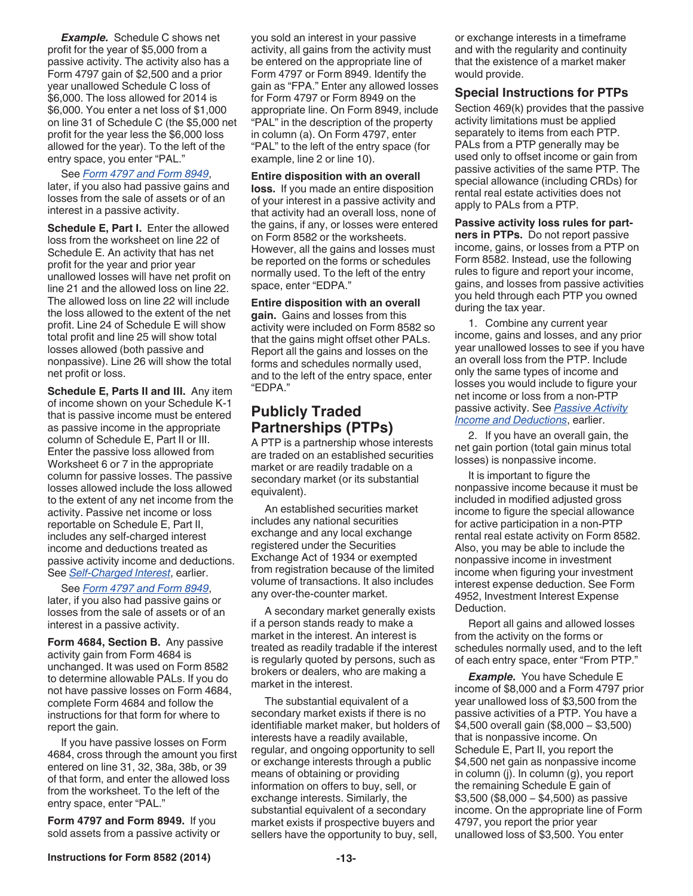<span id="page-12-0"></span>*Example.* Schedule C shows net profit for the year of \$5,000 from a passive activity. The activity also has a Form 4797 gain of \$2,500 and a prior year unallowed Schedule C loss of \$6,000. The loss allowed for 2014 is \$6,000. You enter a net loss of \$1,000 on line 31 of Schedule C (the \$5,000 net profit for the year less the \$6,000 loss allowed for the year). To the left of the entry space, you enter "PAL."

#### See *Form 4797 and Form 8949*,

later, if you also had passive gains and losses from the sale of assets or of an interest in a passive activity.

**Schedule E, Part I.** Enter the allowed loss from the worksheet on line 22 of Schedule E. An activity that has net profit for the year and prior year unallowed losses will have net profit on line 21 and the allowed loss on line 22. The allowed loss on line 22 will include the loss allowed to the extent of the net profit. Line 24 of Schedule E will show total profit and line 25 will show total losses allowed (both passive and nonpassive). Line 26 will show the total net profit or loss.

**Schedule E, Parts II and III.** Any item of income shown on your Schedule K-1 that is passive income must be entered as passive income in the appropriate column of Schedule E, Part II or III. Enter the passive loss allowed from Worksheet 6 or 7 in the appropriate column for passive losses. The passive losses allowed include the loss allowed to the extent of any net income from the activity. Passive net income or loss reportable on Schedule E, Part II, includes any self-charged interest income and deductions treated as passive activity income and deductions. See *[Self-Charged Interest](#page-6-0)*, earlier.

See *Form 4797 and Form 8949*, later, if you also had passive gains or losses from the sale of assets or of an interest in a passive activity.

**Form 4684, Section B.** Any passive activity gain from Form 4684 is unchanged. It was used on Form 8582 to determine allowable PALs. If you do not have passive losses on Form 4684, complete Form 4684 and follow the instructions for that form for where to report the gain.

If you have passive losses on Form 4684, cross through the amount you first entered on line 31, 32, 38a, 38b, or 39 of that form, and enter the allowed loss from the worksheet. To the left of the entry space, enter "PAL."

**Form 4797 and Form 8949.** If you sold assets from a passive activity or you sold an interest in your passive activity, all gains from the activity must be entered on the appropriate line of Form 4797 or Form 8949. Identify the gain as "FPA." Enter any allowed losses for Form 4797 or Form 8949 on the appropriate line. On Form 8949, include "PAL" in the description of the property in column (a). On Form 4797, enter "PAL" to the left of the entry space (for example, line 2 or line 10).

#### **Entire disposition with an overall**

**loss.** If you made an entire disposition of your interest in a passive activity and that activity had an overall loss, none of the gains, if any, or losses were entered on Form 8582 or the worksheets. However, all the gains and losses must be reported on the forms or schedules normally used. To the left of the entry space, enter "EDPA."

#### **Entire disposition with an overall**

**gain.** Gains and losses from this activity were included on Form 8582 so that the gains might offset other PALs. Report all the gains and losses on the forms and schedules normally used, and to the left of the entry space, enter "EDPA."

# **Publicly Traded Partnerships (PTPs)**

A PTP is a partnership whose interests are traded on an established securities market or are readily tradable on a secondary market (or its substantial equivalent).

An established securities market includes any national securities exchange and any local exchange registered under the Securities Exchange Act of 1934 or exempted from registration because of the limited volume of transactions. It also includes any over-the-counter market.

A secondary market generally exists if a person stands ready to make a market in the interest. An interest is treated as readily tradable if the interest is regularly quoted by persons, such as brokers or dealers, who are making a market in the interest.

The substantial equivalent of a secondary market exists if there is no identifiable market maker, but holders of interests have a readily available, regular, and ongoing opportunity to sell or exchange interests through a public means of obtaining or providing information on offers to buy, sell, or exchange interests. Similarly, the substantial equivalent of a secondary market exists if prospective buyers and sellers have the opportunity to buy, sell,

or exchange interests in a timeframe and with the regularity and continuity that the existence of a market maker would provide.

#### **Special Instructions for PTPs**

Section 469(k) provides that the passive activity limitations must be applied separately to items from each PTP. PALs from a PTP generally may be used only to offset income or gain from passive activities of the same PTP. The special allowance (including CRDs) for rental real estate activities does not apply to PALs from a PTP.

**Passive activity loss rules for partners in PTPs.** Do not report passive income, gains, or losses from a PTP on Form 8582. Instead, use the following rules to figure and report your income, gains, and losses from passive activities you held through each PTP you owned during the tax year.

1. Combine any current year income, gains and losses, and any prior year unallowed losses to see if you have an overall loss from the PTP. Include only the same types of income and losses you would include to figure your net income or loss from a non-PTP passive activity. See *[Passive Activity](#page-5-0)  [Income and Deductions](#page-5-0)*, earlier.

2. If you have an overall gain, the net gain portion (total gain minus total losses) is nonpassive income.

It is important to figure the nonpassive income because it must be included in modified adjusted gross income to figure the special allowance for active participation in a non-PTP rental real estate activity on Form 8582. Also, you may be able to include the nonpassive income in investment income when figuring your investment interest expense deduction. See Form 4952, Investment Interest Expense Deduction.

Report all gains and allowed losses from the activity on the forms or schedules normally used, and to the left of each entry space, enter "From PTP."

*Example.* You have Schedule E income of \$8,000 and a Form 4797 prior year unallowed loss of \$3,500 from the passive activities of a PTP. You have a \$4,500 overall gain (\$8,000 − \$3,500) that is nonpassive income. On Schedule E, Part II, you report the \$4,500 net gain as nonpassive income in column (j). In column (g), you report the remaining Schedule E gain of \$3,500 (\$8,000 − \$4,500) as passive income. On the appropriate line of Form 4797, you report the prior year unallowed loss of \$3,500. You enter